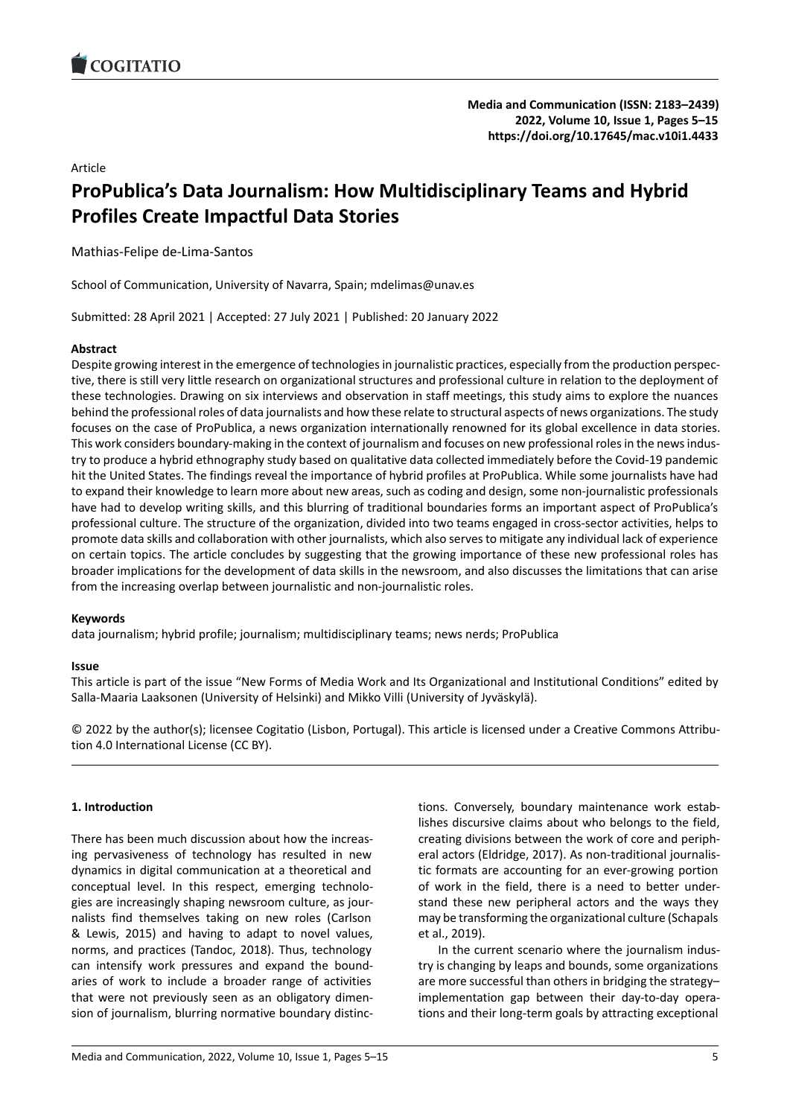## Article

# **ProPublica's Data Journalism: How Multidiscipli[nary Teams and Hybrid](https://doi.org/10.17645/mac.v10i1.4433) Profiles Create Impactful Data Stories**

Mathias‐Felipe de‐Lima‐Santos

School of Communication, University of Navarra, Spain; mdelimas@unav.es

Submitted: 28 April 2021 | Accepted: 27 July 2021 | Published: 20 January 2022

## **Abstract**

Despite growing interest in the emergence of technologies in journalistic practices, especially from the production perspec‐ tive, there is still very little research on organizational structures and professional culture in relation to the deployment of these technologies. Drawing on six interviews and observation in staff meetings, this study aims to explore the nuances behind the professional roles of data journalists and how these relate to structural aspects of news organizations. The study focuses on the case of ProPublica, a news organization internationally renowned for its global excellence in data stories. This work considers boundary‐making in the context of journalism and focuses on new professional roles in the news indus‐ try to produce a hybrid ethnography study based on qualitative data collected immediately before the Covid‐19 pandemic hit the United States. The findings reveal the importance of hybrid profiles at ProPublica. While some journalists have had to expand their knowledge to learn more about new areas, such as coding and design, some non‐journalistic professionals have had to develop writing skills, and this blurring of traditional boundaries forms an important aspect of ProPublica's professional culture. The structure of the organization, divided into two teams engaged in cross‐sector activities, helps to promote data skills and collaboration with other journalists, which also serves to mitigate any individual lack of experience on certain topics. The article concludes by suggesting that the growing importance of these new professional roles has broader implications for the development of data skills in the newsroom, and also discusses the limitations that can arise from the increasing overlap between journalistic and non‐journalistic roles.

## **Keywords**

data journalism; hybrid profile; journalism; multidisciplinary teams; news nerds; ProPublica

### **Issue**

This article is part of the issue "New Forms of Media Work and Its Organizational and Institutional Conditions" edited by Salla‐Maaria Laaksonen (University of Helsinki) and Mikko Villi (University of Jyväskylä).

© 2022 by the author(s); licensee Cogitatio (Lisbon, Portugal). This article is licensed under a Creative Commons Attribu‐ tion 4.0 International License (CC BY).

## **1. Introduction**

There has been much discussion about how the increas‐ ing pervasiveness of technology has resulted in new dynamics in digital communication at a theoretical and conceptual level. In this respect, emerging technolo‐ gies are increasingly shaping newsroom culture, as jour‐ nalists find themselves taking on new roles (Carlson & Lewis, 2015) and having to adapt to novel values, norms, and practices (Tandoc, 2018). Thus, technology can intensify work pressures and expand the bound‐ aries of work to include a broader range of activities that were not previously seen as an obligatory dimen‐ sion of journalism, blurring normative boundary distinc‐ tions. Conversely, boundary maintenance work estab‐ lishes discursive claims about who belongs to the field, creating divisions between the work of core and periph‐ eral actors (Eldridge, 2017). As non-traditional journalistic formats are accounting for an ever‐growing portion of work in the field, there is a need to better under‐ stand these new peripheral actors and the ways they may be transforming the organizational culture (Schapals et al., 2019).

In the current scenario where the journalism indus‐ try is changing by leaps and bounds, some organizations are more successful than others in bridging the strategy– implementation gap between their day-to-day operations and their long‐term goals by attracting exceptional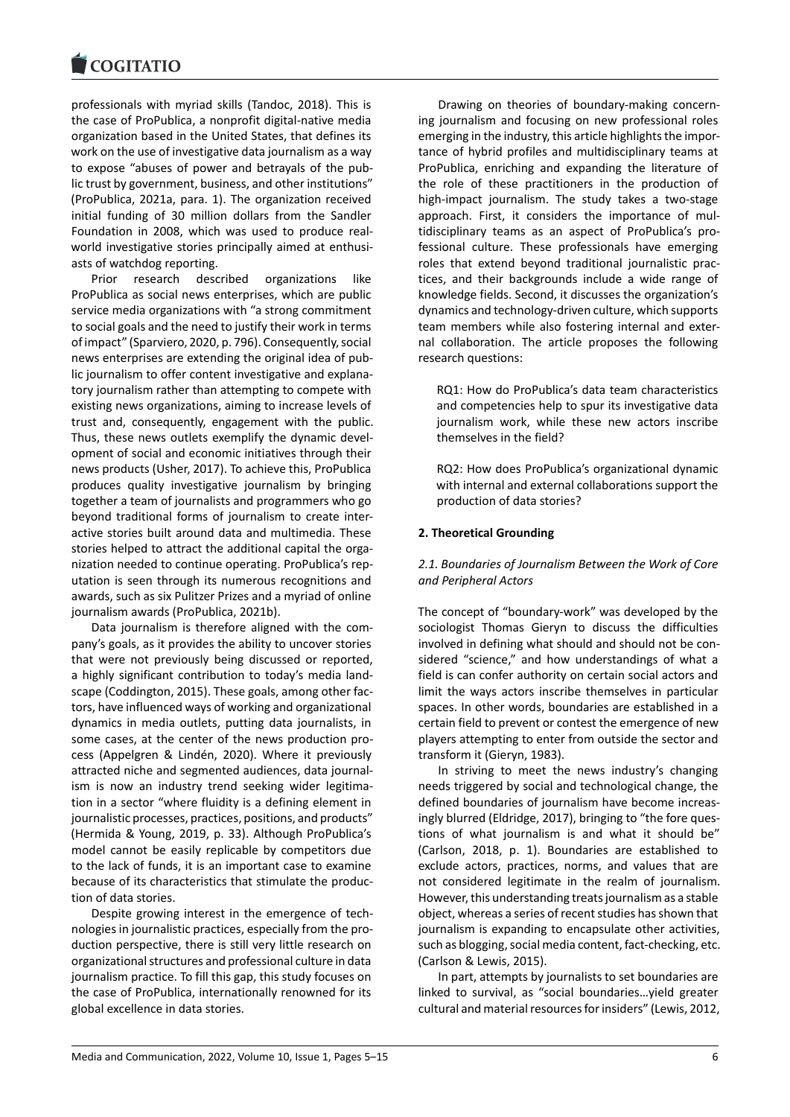professionals with myriad skills (Tandoc, 2018). This is [the case of ProPubli](https://www.cogitatiopress.com)ca, a nonprofit digital‐native media organization based in the United States, that defines its work on the use of investigative data journalism as a way to expose "abuses of power and betrayals of the pub‐ lic trust by government, business, and other institutions" (ProPublica, 2021a, para. 1). The organization received initial funding of 30 million dollars from the Sandler Foundation in 2008, which was used to produce real‐ world investigative stories principally aimed at enthusiasts of watchdog reporting.

Prior research described organizations like ProPublica as social news enterprises, which are public service media organizations with "a strong commitment to social goals and the need to justify their work in terms of impact" (Sparviero, 2020, p. 796). Consequently, social news enterprises are extending the original idea of pub‐ lic journalism to offer content investigative and explana‐ tory journalism rather than attempting to compete with existing news organizations, aiming to increase levels of trust and, consequently, engagement with the public. Thus, these news outlets exemplify the dynamic devel‐ opment of social and economic initiatives through their news products (Usher, 2017). To achieve this, ProPublica produces quality investigative journalism by bringing together a team of journalists and programmers who go beyond traditional forms of journalism to create inter‐ active stories built around data and multimedia. These stories helped to attract the additional capital the organization needed to continue operating. ProPublica's rep‐ utation is seen through its numerous recognitions and awards, such as six Pulitzer Prizes and a myriad of online journalism awards (ProPublica, 2021b).

Data journalism is therefore aligned with the com‐ pany's goals, as it provides the ability to uncover stories that were not previously being discussed or reported, a highly significant contribution to today's media land‐ scape (Coddington, 2015). These goals, among other fac‐ tors, have influenced ways of working and organizational dynamics in media outlets, putting data journalists, in some cases, at the center of the news production process (Appelgren & Lindén, 2020). Where it previously attracted niche and segmented audiences, data journal‐ ism is now an industry trend seeking wider legitimation in a sector "where fluidity is a defining element in journalistic processes, practices, positions, and products" (Hermida & Young, 2019, p. 33). Although ProPublica's model cannot be easily replicable by competitors due to the lack of funds, it is an important case to examine because of its characteristics that stimulate the produc‐ tion of data stories.

Despite growing interest in the emergence of tech‐ nologies in journalistic practices, especially from the pro‐ duction perspective, there is still very little research on organizational structures and professional culture in data journalism practice. To fill this gap, this study focuses on the case of ProPublica, internationally renowned for its global excellence in data stories.

Drawing on theories of boundary‐making concern‐ ing journalism and focusing on new professional roles emerging in the industry, this article highlights the impor‐ tance of hybrid profiles and multidisciplinary teams at ProPublica, enriching and expanding the literature of the role of these practitioners in the production of high-impact journalism. The study takes a two-stage approach. First, it considers the importance of mul‐ tidisciplinary teams as an aspect of ProPublica's pro‐ fessional culture. These professionals have emerging roles that extend beyond traditional journalistic prac‐ tices, and their backgrounds include a wide range of knowledge fields. Second, it discusses the organization's dynamics and technology‐driven culture, which supports team members while also fostering internal and exter‐ nal collaboration. The article proposes the following research questions:

RQ1: How do ProPublica's data team characteristics and competencies help to spur its investigative data journalism work, while these new actors inscribe themselves in the field?

RQ2: How does ProPublica's organizational dynamic with internal and external collaborations support the production of data stories?

### **2. Theoretical Grounding**

## *2.1. Boundaries of Journalism Between the Work of Core and Peripheral Actors*

The concept of "boundary‐work" was developed by the sociologist Thomas Gieryn to discuss the difficulties involved in defining what should and should not be con‐ sidered "science," and how understandings of what a field is can confer authority on certain social actors and limit the ways actors inscribe themselves in particular spaces. In other words, boundaries are established in a certain field to prevent or contest the emergence of new players attempting to enter from outside the sector and transform it (Gieryn, 1983).

In striving to meet the news industry's changing needs triggered by social and technological change, the defined boundaries of journalism have become increas‐ ingly blurred (Eldridge, 2017), bringing to "the fore ques‐ tions of what journalism is and what it should be" (Carlson, 2018, p. 1). Boundaries are established to exclude actors, practices, norms, and values that are not considered legitimate in the realm of journalism. However, this understanding treats journalism as a stable object, whereas a series of recent studies has shown that journalism is expanding to encapsulate other activities, such as blogging, social media content, fact-checking, etc. (Carlson & Lewis, 2015).

In part, attempts by journalists to set boundaries are linked to survival, as "social boundaries…yield greater cultural and material resources for insiders" (Lewis, 2012,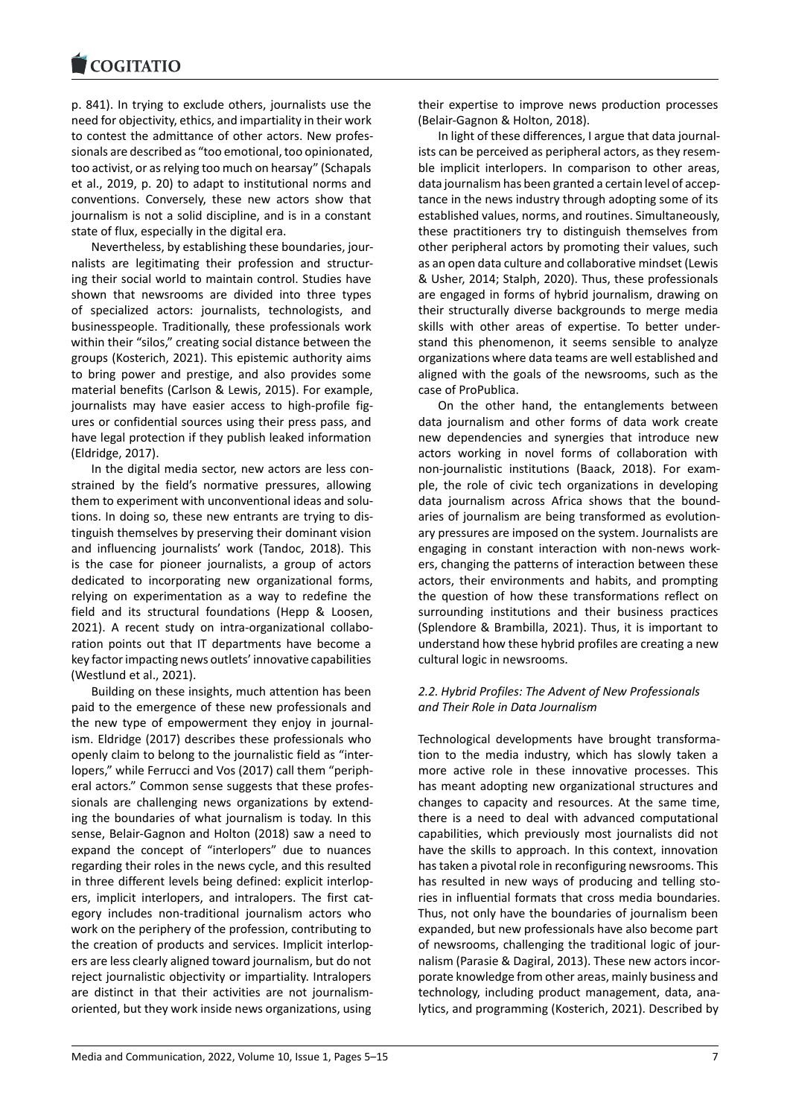p. 841). In trying to exclude others, journalists use the [need for objectivity, e](https://www.cogitatiopress.com)thics, and impartiality in their work to contest the admittance of other actors. New profes‐ sionals are described as "too emotional, too opinionated, too activist, or as relying too much on hearsay" (Schapals et al., 2019, p. 20) to adapt to institutional norms and conventions. Conversely, these new actors show that journalism is not a solid discipline, and is in a constant state of flux, especially in the digital era.

Nevertheless, by establishing these boundaries, jour‐ nalists are legitimating their profession and structur‐ ing their social world to maintain control. Studies have shown that newsrooms are divided into three types of specialized actors: journalists, technologists, and businesspeople. Traditionally, these professionals work within their "silos," creating social distance between the groups (Kosterich, 2021). This epistemic authority aims to bring power and prestige, and also provides some material benefits (Carlson & Lewis, 2015). For example, journalists may have easier access to high‐profile fig‐ ures or confidential sources using their press pass, and have legal protection if they publish leaked information (Eldridge, 2017).

In the digital media sector, new actors are less con‐ strained by the field's normative pressures, allowing them to experiment with unconventional ideas and solu‐ tions. In doing so, these new entrants are trying to dis‐ tinguish themselves by preserving their dominant vision and influencing journalists' work (Tandoc, 2018). This is the case for pioneer journalists, a group of actors dedicated to incorporating new organizational forms, relying on experimentation as a way to redefine the field and its structural foundations (Hepp & Loosen, 2021). A recent study on intra-organizational collaboration points out that IT departments have become a key factor impacting news outlets' innovative capabilities (Westlund et al., 2021).

Building on these insights, much attention has been paid to the emergence of these new professionals and the new type of empowerment they enjoy in journal‐ ism. Eldridge (2017) describes these professionals who openly claim to belong to the journalistic field as "inter‐ lopers," while Ferrucci and Vos (2017) call them "periph‐ eral actors." Common sense suggests that these profes‐ sionals are challenging news organizations by extend‐ ing the boundaries of what journalism is today. In this sense, Belair‐Gagnon and Holton (2018) saw a need to expand the concept of "interlopers" due to nuances regarding their roles in the news cycle, and this resulted in three different levels being defined: explicit interlopers, implicit interlopers, and intralopers. The first category includes non-traditional journalism actors who work on the periphery of the profession, contributing to the creation of products and services. Implicit interlop‐ ers are less clearly aligned toward journalism, but do not reject journalistic objectivity or impartiality. Intralopers are distinct in that their activities are not journalism‐ oriented, but they work inside news organizations, using

their expertise to improve news production processes (Belair‐Gagnon & Holton, 2018).

In light of these differences, I argue that data journal‐ ists can be perceived as peripheral actors, as they resem‐ ble implicit interlopers. In comparison to other areas, data journalism has been granted a certain level of accep‐ tance in the news industry through adopting some of its established values, norms, and routines. Simultaneously, these practitioners try to distinguish themselves from other peripheral actors by promoting their values, such as an open data culture and collaborative mindset (Lewis & Usher, 2014; Stalph, 2020). Thus, these professionals are engaged in forms of hybrid journalism, drawing on their structurally diverse backgrounds to merge media skills with other areas of expertise. To better under‐ stand this phenomenon, it seems sensible to analyze organizations where data teams are well established and aligned with the goals of the newsrooms, such as the case of ProPublica.

On the other hand, the entanglements between data journalism and other forms of data work create new dependencies and synergies that introduce new actors working in novel forms of collaboration with non‐journalistic institutions (Baack, 2018). For exam‐ ple, the role of civic tech organizations in developing data journalism across Africa shows that the bound‐ aries of journalism are being transformed as evolution‐ ary pressures are imposed on the system. Journalists are engaging in constant interaction with non‐news work‐ ers, changing the patterns of interaction between these actors, their environments and habits, and prompting the question of how these transformations reflect on surrounding institutions and their business practices (Splendore & Brambilla, 2021). Thus, it is important to understand how these hybrid profiles are creating a new cultural logic in newsrooms.

### *2.2. Hybrid Profiles: The Advent of New Professionals and Their Role in Data Journalism*

Technological developments have brought transforma‐ tion to the media industry, which has slowly taken a more active role in these innovative processes. This has meant adopting new organizational structures and changes to capacity and resources. At the same time, there is a need to deal with advanced computational capabilities, which previously most journalists did not have the skills to approach. In this context, innovation has taken a pivotal role in reconfiguring newsrooms. This has resulted in new ways of producing and telling stories in influential formats that cross media boundaries. Thus, not only have the boundaries of journalism been expanded, but new professionals have also become part of newsrooms, challenging the traditional logic of jour‐ nalism (Parasie & Dagiral, 2013). These new actors incor‐ porate knowledge from other areas, mainly business and technology, including product management, data, ana‐ lytics, and programming (Kosterich, 2021). Described by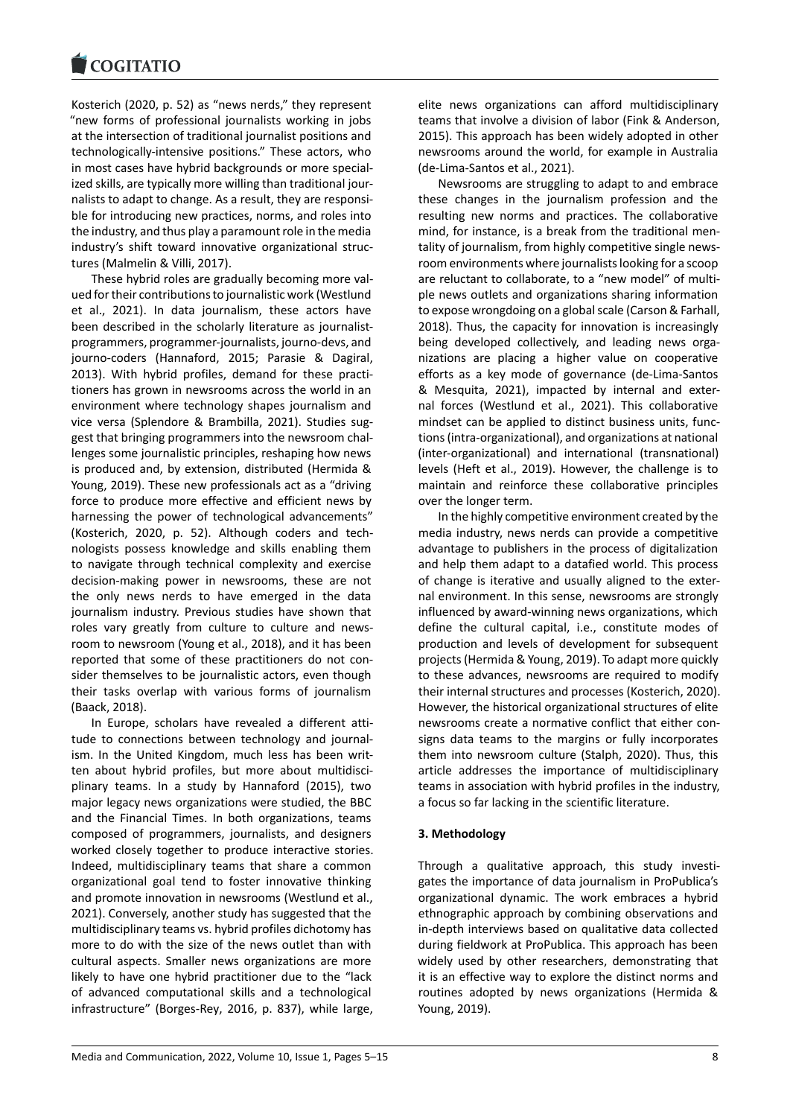Kosterich (2020, p. 52) as "news nerds," they represent ["new forms of profe](https://www.cogitatiopress.com)ssional journalists working in jobs at the intersection of traditional journalist positions and technologically‐intensive positions." These actors, who in most cases have hybrid backgrounds or more special‐ ized skills, are typically more willing than traditional journalists to adapt to change. As a result, they are responsi‐ ble for introducing new practices, norms, and roles into the industry, and thus play a paramount role in the media industry's shift toward innovative organizational struc‐ tures (Malmelin & Villi, 2017).

These hybrid roles are gradually becoming more val‐ ued for their contributions to journalistic work (Westlund et al., 2021). In data journalism, these actors have been described in the scholarly literature as journalistprogrammers, programmer‐journalists, journo‐devs, and journo‐coders (Hannaford, 2015; Parasie & Dagiral, 2013). With hybrid profiles, demand for these practi‐ tioners has grown in newsrooms across the world in an environment where technology shapes journalism and vice versa (Splendore & Brambilla, 2021). Studies sug‐ gest that bringing programmers into the newsroom chal‐ lenges some journalistic principles, reshaping how news is produced and, by extension, distributed (Hermida & Young, 2019). These new professionals act as a "driving force to produce more effective and efficient news by harnessing the power of technological advancements" (Kosterich, 2020, p. 52). Although coders and tech‐ nologists possess knowledge and skills enabling them to navigate through technical complexity and exercise decision‐making power in newsrooms, these are not the only news nerds to have emerged in the data journalism industry. Previous studies have shown that roles vary greatly from culture to culture and news‐ room to newsroom (Young et al., 2018), and it has been reported that some of these practitioners do not con‐ sider themselves to be journalistic actors, even though their tasks overlap with various forms of journalism (Baack, 2018).

In Europe, scholars have revealed a different atti‐ tude to connections between technology and journal‐ ism. In the United Kingdom, much less has been written about hybrid profiles, but more about multidisciplinary teams. In a study by Hannaford (2015), two major legacy news organizations were studied, the BBC and the Financial Times. In both organizations, teams composed of programmers, journalists, and designers worked closely together to produce interactive stories. Indeed, multidisciplinary teams that share a common organizational goal tend to foster innovative thinking and promote innovation in newsrooms (Westlund et al., 2021). Conversely, another study has suggested that the multidisciplinary teams vs. hybrid profiles dichotomy has more to do with the size of the news outlet than with cultural aspects. Smaller news organizations are more likely to have one hybrid practitioner due to the "lack of advanced computational skills and a technological infrastructure" (Borges‐Rey, 2016, p. 837), while large,

elite news organizations can afford multidisciplinary teams that involve a division of labor (Fink & Anderson, 2015). This approach has been widely adopted in other newsrooms around the world, for example in Australia (de‐Lima‐Santos et al., 2021).

Newsrooms are struggling to adapt to and embrace these changes in the journalism profession and the resulting new norms and practices. The collaborative mind, for instance, is a break from the traditional men‐ tality of journalism, from highly competitive single news‐ room environments where journalists looking for a scoop are reluctant to collaborate, to a "new model" of multi‐ ple news outlets and organizations sharing information to expose wrongdoing on a global scale (Carson & Farhall, 2018). Thus, the capacity for innovation is increasingly being developed collectively, and leading news organizations are placing a higher value on cooperative efforts as a key mode of governance (de‐Lima‐Santos & Mesquita, 2021), impacted by internal and exter‐ nal forces (Westlund et al., 2021). This collaborative mindset can be applied to distinct business units, func‐ tions (intra‐organizational), and organizations at national (inter‐organizational) and international (transnational) levels (Heft et al., 2019). However, the challenge is to maintain and reinforce these collaborative principles over the longer term.

In the highly competitive environment created by the media industry, news nerds can provide a competitive advantage to publishers in the process of digitalization and help them adapt to a datafied world. This process of change is iterative and usually aligned to the exter‐ nal environment. In this sense, newsrooms are strongly influenced by award‐winning news organizations, which define the cultural capital, i.e., constitute modes of production and levels of development for subsequent projects (Hermida & Young, 2019). To adapt more quickly to these advances, newsrooms are required to modify their internal structures and processes (Kosterich, 2020). However, the historical organizational structures of elite newsrooms create a normative conflict that either con‐ signs data teams to the margins or fully incorporates them into newsroom culture (Stalph, 2020). Thus, this article addresses the importance of multidisciplinary teams in association with hybrid profiles in the industry, a focus so far lacking in the scientific literature.

## **3. Methodology**

Through a qualitative approach, this study investi‐ gates the importance of data journalism in ProPublica's organizational dynamic. The work embraces a hybrid ethnographic approach by combining observations and in‐depth interviews based on qualitative data collected during fieldwork at ProPublica. This approach has been widely used by other researchers, demonstrating that it is an effective way to explore the distinct norms and routines adopted by news organizations (Hermida & Young, 2019).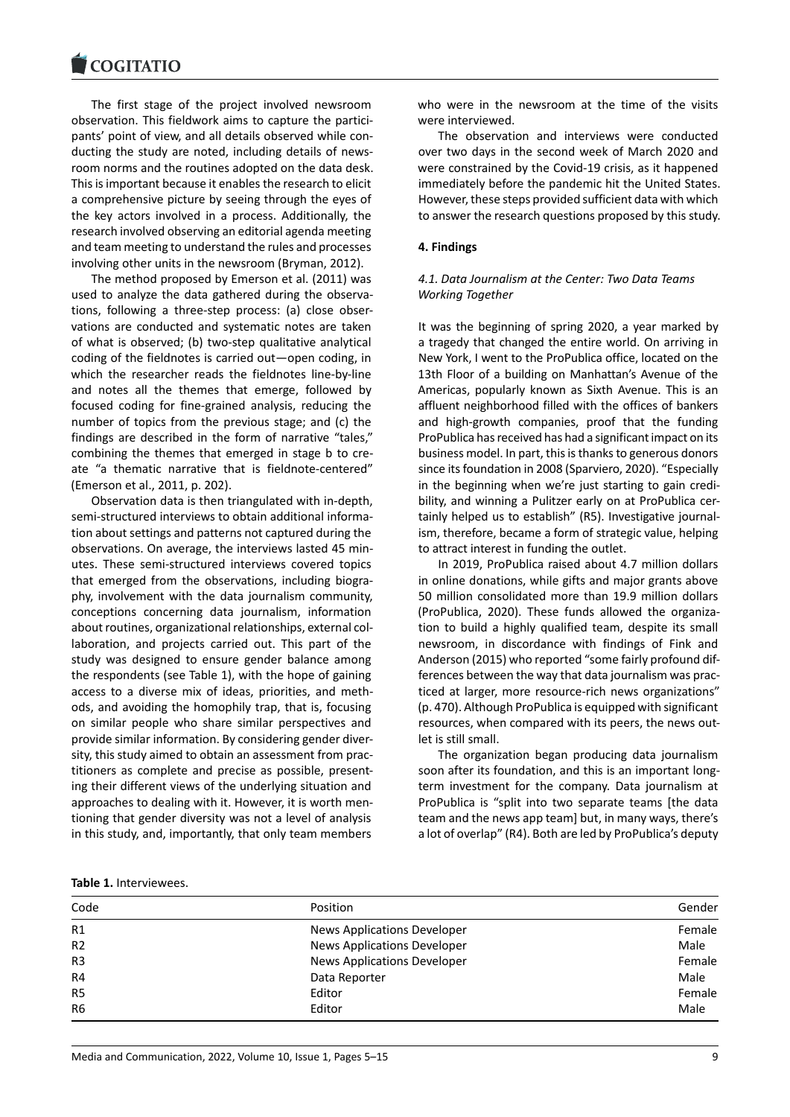#### COQUATIO

The first stage of the project involved newsroom [observation. This fie](https://www.cogitatiopress.com)ldwork aims to capture the partici‐ pants' point of view, and all details observed while con‐ ducting the study are noted, including details of news‐ room norms and the routines adopted on the data desk. This is important because it enables the research to elicit a comprehensive picture by seeing through the eyes of the key actors involved in a process. Additionally, the research involved observing an editorial agenda meeting and team meeting to understand the rules and processes involving other units in the newsroom (Bryman, 2012).

The method proposed by Emerson et al. (2011) was used to analyze the data gathered during the observa‐ tions, following a three‐step process: (a) close obser‐ vations are conducted and systematic notes are taken of what is observed; (b) two‐step qualitative analytical coding of the fieldnotes is carried out—open coding, in which the researcher reads the fieldnotes line‐by‐line and notes all the themes that emerge, followed by focused coding for fine‐grained analysis, reducing the number of topics from the previous stage; and (c) the findings are described in the form of narrative "tales," combining the themes that emerged in stage b to cre‐ ate "a thematic narrative that is fieldnote‐centered" (Emerson et al., 2011, p. 202).

Observation data is then triangulated with in‐depth, semi‐structured interviews to obtain additional informa‐ tion about settings and patterns not captured during the observations. On average, the interviews lasted 45 min‐ utes. These semi‐structured interviews covered topics that emerged from the observations, including biogra‐ phy, involvement with the data journalism community, conceptions concerning data journalism, information about routines, organizational relationships, external col‐ laboration, and projects carried out. This part of the study was designed to ensure gender balance among the respondents (see Table 1), with the hope of gaining access to a diverse mix of ideas, priorities, and meth‐ ods, and avoiding the homophily trap, that is, focusing on similar people who share similar perspectives and provide similar information. By considering gender diver‐ sity, this study aimed to obtain an assessment from prac‐ titioners as complete and precise as possible, present‐ ing their different views of the underlying situation and approaches to dealing with it. However, it is worth men‐ tioning that gender diversity was not a level of analysis in this study, and, importantly, that only team members who were in the newsroom at the time of the visits were interviewed.

The observation and interviews were conducted over two days in the second week of March 2020 and were constrained by the Covid‐19 crisis, as it happened immediately before the pandemic hit the United States. However, these steps provided sufficient data with which to answer the research questions proposed by this study.

### **4. Findings**

## *4.1. Data Journalism at the Center: Two Data Teams Working Together*

It was the beginning of spring 2020, a year marked by a tragedy that changed the entire world. On arriving in New York, I went to the ProPublica office, located on the 13th Floor of a building on Manhattan's Avenue of the Americas, popularly known as Sixth Avenue. This is an affluent neighborhood filled with the offices of bankers and high‐growth companies, proof that the funding ProPublica has received has had a significant impact on its business model. In part, this is thanks to generous donors since its foundation in 2008 (Sparviero, 2020). "Especially in the beginning when we're just starting to gain credi‐ bility, and winning a Pulitzer early on at ProPublica cer‐ tainly helped us to establish" (R5). Investigative journal‐ ism, therefore, became a form of strategic value, helping to attract interest in funding the outlet.

In 2019, ProPublica raised about 4.7 million dollars in online donations, while gifts and major grants above 50 million consolidated more than 19.9 million dollars (ProPublica, 2020). These funds allowed the organiza‐ tion to build a highly qualified team, despite its small newsroom, in discordance with findings of Fink and Anderson (2015) who reported "some fairly profound dif‐ ferences between the way that data journalism was prac‐ ticed at larger, more resource‐rich news organizations" (p. 470). Although ProPublica is equipped with significant resources, when compared with its peers, the news outlet is still small.

The organization began producing data journalism soon after its foundation, and this is an important longterm investment for the company. Data journalism at ProPublica is "split into two separate teams [the data team and the news app team] but, in many ways, there's a lot of overlap" (R4). Both are led by ProPublica's deputy

|  | <b>Table 1.</b> Interviewees. |
|--|-------------------------------|
|--|-------------------------------|

| Code           | Position                           | Gender |
|----------------|------------------------------------|--------|
| R1             | <b>News Applications Developer</b> | Female |
| R <sub>2</sub> | <b>News Applications Developer</b> | Male   |
| R <sub>3</sub> | <b>News Applications Developer</b> | Female |
| R <sub>4</sub> | Data Reporter                      | Male   |
| R <sub>5</sub> | Editor                             | Female |
| R <sub>6</sub> | Editor                             | Male   |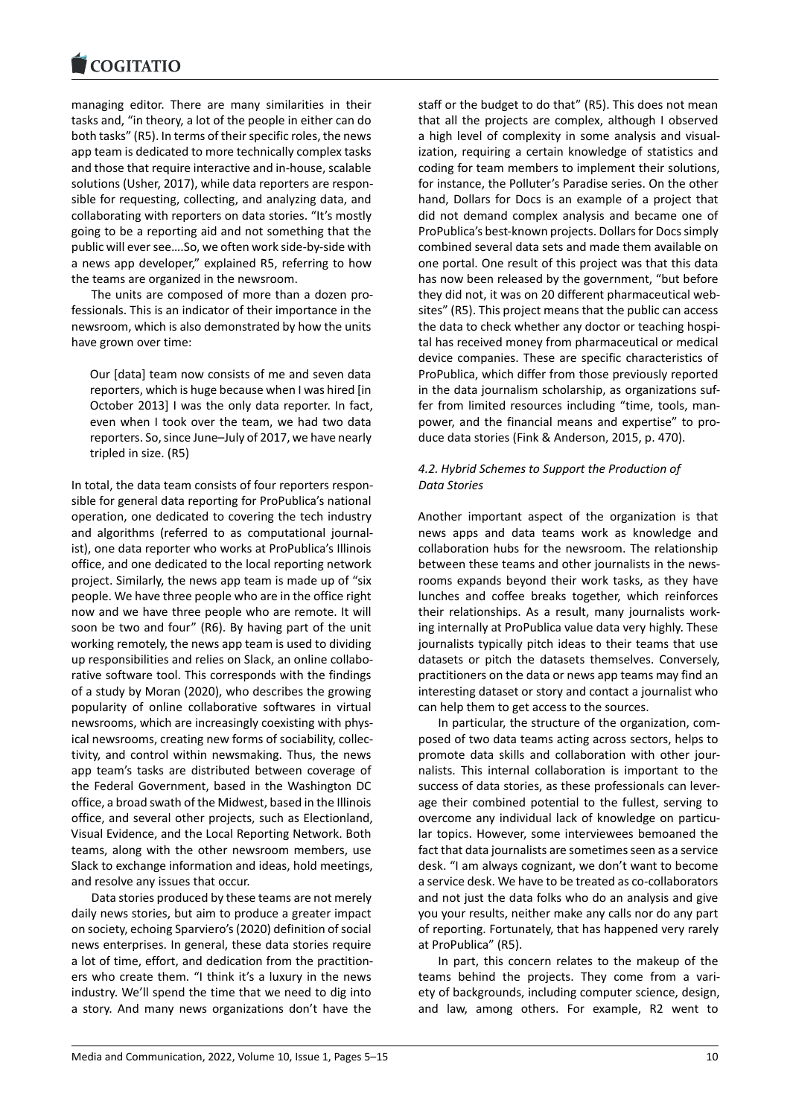managing editor. There are many similarities in their [tasks and, "in theory](https://www.cogitatiopress.com), a lot of the people in either can do both tasks" (R5). In terms of their specific roles, the news app team is dedicated to more technically complex tasks and those that require interactive and in‐house, scalable solutions (Usher, 2017), while data reporters are respon‐ sible for requesting, collecting, and analyzing data, and collaborating with reporters on data stories. "It's mostly going to be a reporting aid and not something that the public will ever see….So, we often work side‐by‐side with a news app developer," explained R5, referring to how the teams are organized in the newsroom.

The units are composed of more than a dozen pro‐ fessionals. This is an indicator of their importance in the newsroom, which is also demonstrated by how the units have grown over time:

Our [data] team now consists of me and seven data reporters, which is huge because when I was hired [in October 2013] I was the only data reporter. In fact, even when I took over the team, we had two data reporters. So, since June–July of 2017, we have nearly tripled in size. (R5)

In total, the data team consists of four reporters respon‐ sible for general data reporting for ProPublica's national operation, one dedicated to covering the tech industry and algorithms (referred to as computational journal‐ ist), one data reporter who works at ProPublica's Illinois office, and one dedicated to the local reporting network project. Similarly, the news app team is made up of "six people. We have three people who are in the office right now and we have three people who are remote. It will soon be two and four" (R6). By having part of the unit working remotely, the news app team is used to dividing up responsibilities and relies on Slack, an online collabo‐ rative software tool. This corresponds with the findings of a study by Moran (2020), who describes the growing popularity of online collaborative softwares in virtual newsrooms, which are increasingly coexisting with phys‐ ical newsrooms, creating new forms of sociability, collec‐ tivity, and control within newsmaking. Thus, the news app team's tasks are distributed between coverage of the Federal Government, based in the Washington DC office, a broad swath of the Midwest, based in the Illinois office, and several other projects, such as Electionland, Visual Evidence, and the Local Reporting Network. Both teams, along with the other newsroom members, use Slack to exchange information and ideas, hold meetings, and resolve any issues that occur.

Data stories produced by these teams are not merely daily news stories, but aim to produce a greater impact on society, echoing Sparviero's (2020) definition of social news enterprises. In general, these data stories require a lot of time, effort, and dedication from the practition‐ ers who create them. "I think it's a luxury in the news industry. We'll spend the time that we need to dig into a story. And many news organizations don't have the

staff or the budget to do that" (R5). This does not mean that all the projects are complex, although I observed a high level of complexity in some analysis and visual‐ ization, requiring a certain knowledge of statistics and coding for team members to implement their solutions, for instance, the Polluter's Paradise series. On the other hand, Dollars for Docs is an example of a project that did not demand complex analysis and became one of ProPublica's best‐known projects. Dollars for Docs simply combined several data sets and made them available on one portal. One result of this project was that this data has now been released by the government, "but before they did not, it was on 20 different pharmaceutical web‐ sites" (R5). This project means that the public can access the data to check whether any doctor or teaching hospi‐ tal has received money from pharmaceutical or medical device companies. These are specific characteristics of ProPublica, which differ from those previously reported in the data journalism scholarship, as organizations suf‐ fer from limited resources including "time, tools, manpower, and the financial means and expertise" to pro‐ duce data stories (Fink & Anderson, 2015, p. 470).

## *4.2. Hybrid Schemes to Support the Production of Data Stories*

Another important aspect of the organization is that news apps and data teams work as knowledge and collaboration hubs for the newsroom. The relationship between these teams and other journalists in the news‐ rooms expands beyond their work tasks, as they have lunches and coffee breaks together, which reinforces their relationships. As a result, many journalists work‐ ing internally at ProPublica value data very highly. These journalists typically pitch ideas to their teams that use datasets or pitch the datasets themselves. Conversely, practitioners on the data or news app teams may find an interesting dataset or story and contact a journalist who can help them to get access to the sources.

In particular, the structure of the organization, com‐ posed of two data teams acting across sectors, helps to promote data skills and collaboration with other jour‐ nalists. This internal collaboration is important to the success of data stories, as these professionals can lever‐ age their combined potential to the fullest, serving to overcome any individual lack of knowledge on particu‐ lar topics. However, some interviewees bemoaned the fact that data journalists are sometimes seen as a service desk. "I am always cognizant, we don't want to become a service desk. We have to be treated as co‐collaborators and not just the data folks who do an analysis and give you your results, neither make any calls nor do any part of reporting. Fortunately, that has happened very rarely at ProPublica" (R5).

In part, this concern relates to the makeup of the teams behind the projects. They come from a vari‐ ety of backgrounds, including computer science, design, and law, among others. For example, R2 went to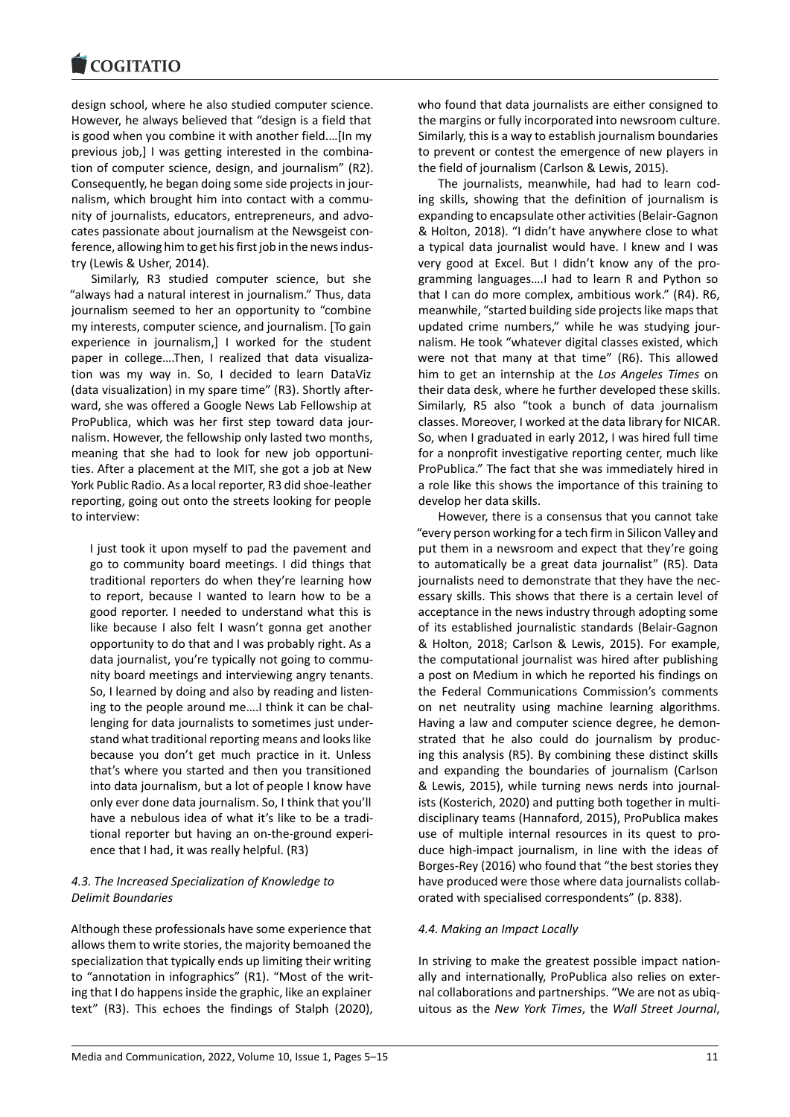design school, where he also studied computer science. [However, he always](https://www.cogitatiopress.com) believed that "design is a field that is good when you combine it with another field.…[In my previous job,] I was getting interested in the combina‐ tion of computer science, design, and journalism" (R2). Consequently, he began doing some side projects in jour‐ nalism, which brought him into contact with a commu‐ nity of journalists, educators, entrepreneurs, and advo‐ cates passionate about journalism at the Newsgeist con‐ ference, allowing him to get his first job in the news indus‐ try (Lewis & Usher, 2014).

Similarly, R3 studied computer science, but she "always had a natural interest in journalism." Thus, data journalism seemed to her an opportunity to "combine my interests, computer science, and journalism. [To gain experience in journalism,] I worked for the student paper in college....Then, I realized that data visualization was my way in. So, I decided to learn DataViz (data visualization) in my spare time" (R3). Shortly after‐ ward, she was offered a Google News Lab Fellowship at ProPublica, which was her first step toward data jour‐ nalism. However, the fellowship only lasted two months, meaning that she had to look for new job opportuni‐ ties. After a placement at the MIT, she got a job at New York Public Radio. As a local reporter, R3 did shoe‐leather reporting, going out onto the streets looking for people to interview:

I just took it upon myself to pad the pavement and go to community board meetings. I did things that traditional reporters do when they're learning how to report, because I wanted to learn how to be a good reporter. I needed to understand what this is like because I also felt I wasn't gonna get another opportunity to do that and I was probably right. As a data journalist, you're typically not going to commu‐ nity board meetings and interviewing angry tenants. So, I learned by doing and also by reading and listen‐ ing to the people around me….I think it can be chal‐ lenging for data journalists to sometimes just under‐ stand what traditional reporting means and looks like because you don't get much practice in it. Unless that's where you started and then you transitioned into data journalism, but a lot of people I know have only ever done data journalism. So, I think that you'll have a nebulous idea of what it's like to be a tradi‐ tional reporter but having an on‐the‐ground experi‐ ence that I had, it was really helpful. (R3)

# *4.3. The Increased Specialization of Knowledge to Delimit Boundaries*

Although these professionals have some experience that allows them to write stories, the majority bemoaned the specialization that typically ends up limiting their writing to "annotation in infographics" (R1). "Most of the writ‐ ing that I do happens inside the graphic, like an explainer text" (R3). This echoes the findings of Stalph (2020), who found that data journalists are either consigned to the margins or fully incorporated into newsroom culture. Similarly, this is a way to establish journalism boundaries to prevent or contest the emergence of new players in the field of journalism (Carlson & Lewis, 2015).

The journalists, meanwhile, had had to learn cod‐ ing skills, showing that the definition of journalism is expanding to encapsulate other activities (Belair‐Gagnon & Holton, 2018). "I didn't have anywhere close to what a typical data journalist would have. I knew and I was very good at Excel. But I didn't know any of the pro‐ gramming languages….I had to learn R and Python so that I can do more complex, ambitious work." (R4). R6, meanwhile, "started building side projects like maps that updated crime numbers," while he was studying jour‐ nalism. He took "whatever digital classes existed, which were not that many at that time" (R6). This allowed him to get an internship at the *Los Angeles Times* on their data desk, where he further developed these skills. Similarly, R5 also "took a bunch of data journalism classes. Moreover, I worked at the data library for NICAR. So, when I graduated in early 2012, I was hired full time for a nonprofit investigative reporting center, much like ProPublica." The fact that she was immediately hired in a role like this shows the importance of this training to develop her data skills.

However, there is a consensus that you cannot take "every person working for a tech firm in Silicon Valley and put them in a newsroom and expect that they're going to automatically be a great data journalist" (R5). Data journalists need to demonstrate that they have the nec‐ essary skills. This shows that there is a certain level of acceptance in the news industry through adopting some of its established journalistic standards (Belair‐Gagnon & Holton, 2018; Carlson & Lewis, 2015). For example, the computational journalist was hired after publishing a post on Medium in which he reported his findings on the Federal Communications Commission's comments on net neutrality using machine learning algorithms. Having a law and computer science degree, he demon‐ strated that he also could do journalism by produc‐ ing this analysis (R5). By combining these distinct skills and expanding the boundaries of journalism (Carlson & Lewis, 2015), while turning news nerds into journal‐ ists (Kosterich, 2020) and putting both together in multi‐ disciplinary teams (Hannaford, 2015), ProPublica makes use of multiple internal resources in its quest to produce high‐impact journalism, in line with the ideas of Borges‐Rey (2016) who found that "the best stories they have produced were those where data journalists collab‐ orated with specialised correspondents" (p. 838).

## *4.4. Making an Impact Locally*

In striving to make the greatest possible impact nation‐ ally and internationally, ProPublica also relies on exter‐ nal collaborations and partnerships. "We are not as ubiq‐ uitous as the *New York Times*, the *Wall Street Journal*,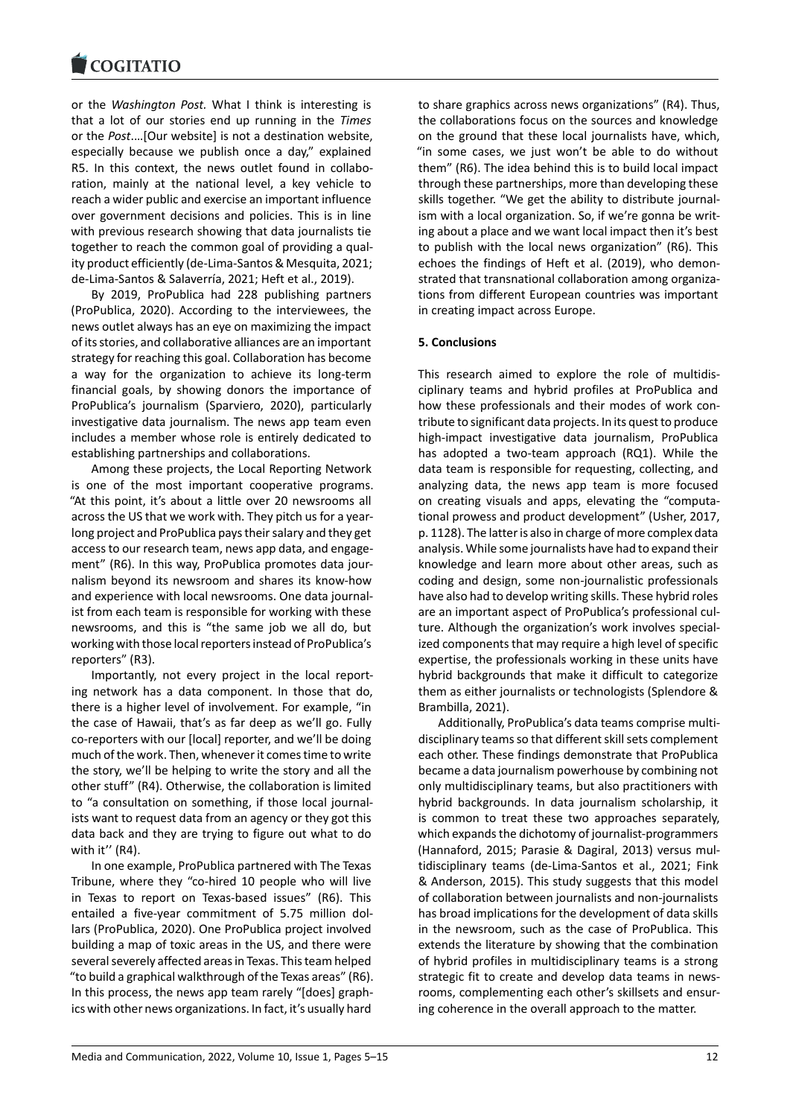#### **COMMITMENT**

or the *Washington Post.* What I think is interesting is [that a lot of our sto](https://www.cogitatiopress.com)ries end up running in the *Times* or the *Post*.…[Our website] is not a destination website, especially because we publish once a day," explained R5. In this context, the news outlet found in collaboration, mainly at the national level, a key vehicle to reach a wider public and exercise an important influence over government decisions and policies. This is in line with previous research showing that data journalists tie together to reach the common goal of providing a qual‐ ity product efficiently (de‐Lima‐Santos & Mesquita, 2021; de‐Lima‐Santos & Salaverría, 2021; Heft et al., 2019).

By 2019, ProPublica had 228 publishing partners (ProPublica, 2020). According to the interviewees, the news outlet always has an eye on maximizing the impact of its stories, and collaborative alliances are an important strategy for reaching this goal. Collaboration has become a way for the organization to achieve its long‐term financial goals, by showing donors the importance of ProPublica's journalism (Sparviero, 2020), particularly investigative data journalism. The news app team even includes a member whose role is entirely dedicated to establishing partnerships and collaborations.

Among these projects, the Local Reporting Network is one of the most important cooperative programs. "At this point, it's about a little over 20 newsrooms all across the US that we work with. They pitch us for a year‐ long project and ProPublica pays their salary and they get access to our research team, news app data, and engage‐ ment" (R6). In this way, ProPublica promotes data journalism beyond its newsroom and shares its know‐how and experience with local newsrooms. One data journal‐ ist from each team is responsible for working with these newsrooms, and this is "the same job we all do, but working with those local reporters instead of ProPublica's reporters" (R3).

Importantly, not every project in the local report‐ ing network has a data component. In those that do, there is a higher level of involvement. For example, "in the case of Hawaii, that's as far deep as we'll go. Fully co‐reporters with our [local] reporter, and we'll be doing much of the work. Then, whenever it comes time to write the story, we'll be helping to write the story and all the other stuff" (R4). Otherwise, the collaboration is limited to "a consultation on something, if those local journal‐ ists want to request data from an agency or they got this data back and they are trying to figure out what to do with it'' (R4).

In one example, ProPublica partnered with The Texas Tribune, where they "co‐hired 10 people who will live in Texas to report on Texas‐based issues" (R6). This entailed a five‐year commitment of 5.75 million dol‐ lars (ProPublica, 2020). One ProPublica project involved building a map of toxic areas in the US, and there were several severely affected areas in Texas. This team helped "to build a graphical walkthrough of the Texas areas" (R6). In this process, the news app team rarely "[does] graph‐ ics with other news organizations. In fact, it's usually hard

to share graphics across news organizations" (R4). Thus, the collaborations focus on the sources and knowledge on the ground that these local journalists have, which, "in some cases, we just won't be able to do without them" (R6). The idea behind this is to build local impact through these partnerships, more than developing these skills together. "We get the ability to distribute journal‐ ism with a local organization. So, if we're gonna be writing about a place and we want local impact then it's best to publish with the local news organization" (R6). This echoes the findings of Heft et al. (2019), who demon‐ strated that transnational collaboration among organiza‐ tions from different European countries was important in creating impact across Europe.

## **5. Conclusions**

This research aimed to explore the role of multidis‐ ciplinary teams and hybrid profiles at ProPublica and how these professionals and their modes of work contribute to significant data projects. In its quest to produce high‐impact investigative data journalism, ProPublica has adopted a two-team approach (RQ1). While the data team is responsible for requesting, collecting, and analyzing data, the news app team is more focused on creating visuals and apps, elevating the "computa‐ tional prowess and product development" (Usher, 2017, p. 1128). The latter is also in charge of more complex data analysis. While some journalists have had to expand their knowledge and learn more about other areas, such as coding and design, some non‐journalistic professionals have also had to develop writing skills. These hybrid roles are an important aspect of ProPublica's professional cul‐ ture. Although the organization's work involves special‐ ized components that may require a high level of specific expertise, the professionals working in these units have hybrid backgrounds that make it difficult to categorize them as either journalists or technologists (Splendore & Brambilla, 2021).

Additionally, ProPublica's data teams comprise multi‐ disciplinary teams so that different skill sets complement each other. These findings demonstrate that ProPublica became a data journalism powerhouse by combining not only multidisciplinary teams, but also practitioners with hybrid backgrounds. In data journalism scholarship, it is common to treat these two approaches separately, which expands the dichotomy of journalist-programmers (Hannaford, 2015; Parasie & Dagiral, 2013) versus mul‐ tidisciplinary teams (de‐Lima‐Santos et al., 2021; Fink & Anderson, 2015). This study suggests that this model of collaboration between journalists and non‐journalists has broad implications for the development of data skills in the newsroom, such as the case of ProPublica. This extends the literature by showing that the combination of hybrid profiles in multidisciplinary teams is a strong strategic fit to create and develop data teams in news‐ rooms, complementing each other's skillsets and ensur‐ ing coherence in the overall approach to the matter.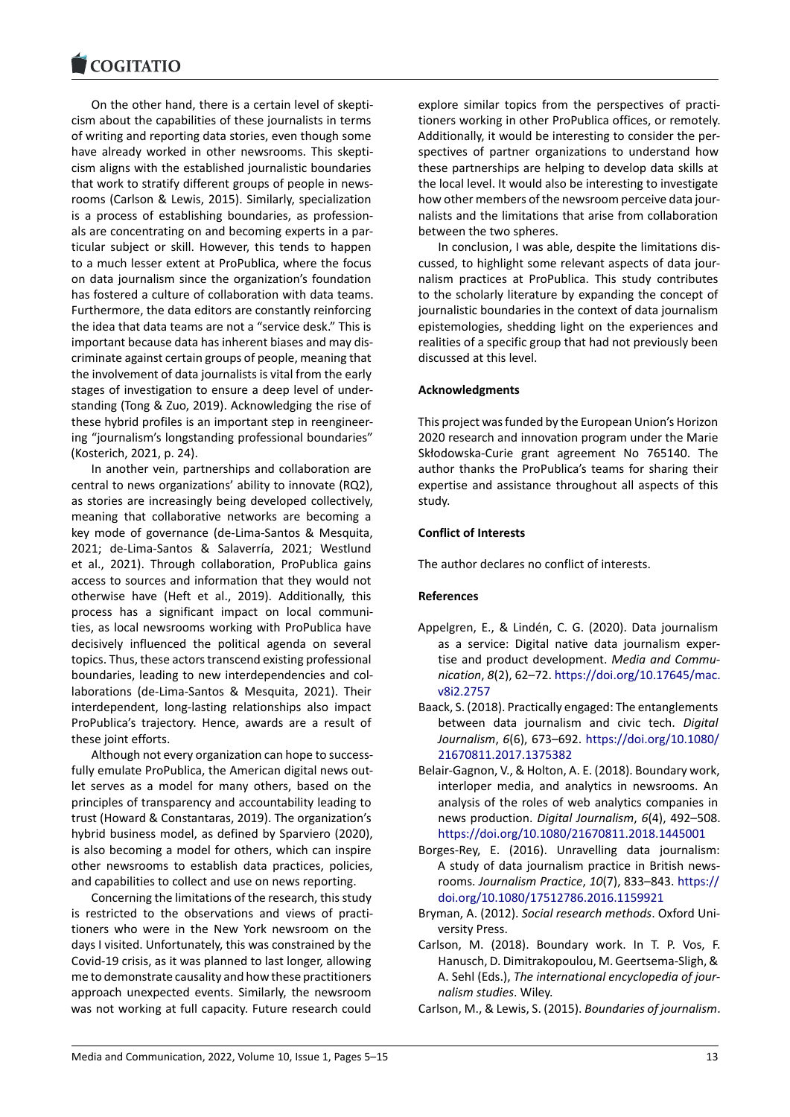On the other hand, there is a certain level of skepti‐ [cism about the capa](https://www.cogitatiopress.com)bilities of these journalists in terms of writing and reporting data stories, even though some have already worked in other newsrooms. This skepticism aligns with the established journalistic boundaries that work to stratify different groups of people in news‐ rooms (Carlson & Lewis, 2015). Similarly, specialization is a process of establishing boundaries, as profession‐ als are concentrating on and becoming experts in a par‐ ticular subject or skill. However, this tends to happen to a much lesser extent at ProPublica, where the focus on data journalism since the organization's foundation has fostered a culture of collaboration with data teams. Furthermore, the data editors are constantly reinforcing the idea that data teams are not a "service desk." This is important because data has inherent biases and may dis‐ criminate against certain groups of people, meaning that the involvement of data journalists is vital from the early stages of investigation to ensure a deep level of under‐ standing (Tong & Zuo, 2019). Acknowledging the rise of these hybrid profiles is an important step in reengineer‐ ing "journalism's longstanding professional boundaries" (Kosterich, 2021, p. 24).

In another vein, partnerships and collaboration are central to news organizations' ability to innovate (RQ2), as stories are increasingly being developed collectively, meaning that collaborative networks are becoming a key mode of governance (de‐Lima‐Santos & Mesquita, 2021; de‐Lima‐Santos & Salaverría, 2021; Westlund et al., 2021). Through collaboration, ProPublica gains access to sources and information that they would not otherwise have (Heft et al., 2019). Additionally, this process has a significant impact on local communi‐ ties, as local newsrooms working with ProPublica have decisively influenced the political agenda on several topics. Thus, these actors transcend existing professional boundaries, leading to new interdependencies and col‐ laborations (de‐Lima‐Santos & Mesquita, 2021). Their interdependent, long‐lasting relationships also impact ProPublica's trajectory. Hence, awards are a result of these joint efforts.

Although not every organization can hope to success‐ fully emulate ProPublica, the American digital news out‐ let serves as a model for many others, based on the principles of transparency and accountability leading to trust (Howard & Constantaras, 2019). The organization's hybrid business model, as defined by Sparviero (2020), is also becoming a model for others, which can inspire other newsrooms to establish data practices, policies, and capabilities to collect and use on news reporting.

Concerning the limitations of the research, this study is restricted to the observations and views of practi‐ tioners who were in the New York newsroom on the days I visited. Unfortunately, this was constrained by the Covid‐19 crisis, as it was planned to last longer, allowing me to demonstrate causality and how these practitioners approach unexpected events. Similarly, the newsroom was not working at full capacity. Future research could

explore similar topics from the perspectives of practi‐ tioners working in other ProPublica offices, or remotely. Additionally, it would be interesting to consider the per‐ spectives of partner organizations to understand how these partnerships are helping to develop data skills at the local level. It would also be interesting to investigate how other members of the newsroom perceive data jour‐ nalists and the limitations that arise from collaboration between the two spheres.

In conclusion, I was able, despite the limitations dis‐ cussed, to highlight some relevant aspects of data jour‐ nalism practices at ProPublica. This study contributes to the scholarly literature by expanding the concept of journalistic boundaries in the context of data journalism epistemologies, shedding light on the experiences and realities of a specific group that had not previously been discussed at this level.

### **Acknowledgments**

This project was funded by the European Union's Horizon 2020 research and innovation program under the Marie Skłodowska‐Curie grant agreement No 765140. The author thanks the ProPublica's teams for sharing their expertise and assistance throughout all aspects of this study.

### **Conflict of Interests**

The author declares no conflict of interests.

### **References**

- Appelgren, E., & Lindén, C. G. (2020). Data journalism as a service: Digital native data journalism exper‐ tise and product development. *Media and Commu‐ nication*, *8*(2), 62–72. https://doi.org/10.17645/mac. v8i2.2757
- Baack, S. (2018). Practically engaged: The entanglements between data journalism and civic tech. *Digital Journalism*, *6*(6), 673–692. [https://doi.org/10.1080/](https://doi.org/10.17645/mac.v8i2.2757) [21670811](https://doi.org/10.17645/mac.v8i2.2757).2017.1375382
- Belair‐Gagnon, V., & Holton, A. E. (2018). Boundary work, interloper media, and analytics in newsrooms. An analysis of the roles of we[b analytics companies in](https://doi.org/10.1080/21670811.2017.1375382) [news production.](https://doi.org/10.1080/21670811.2017.1375382) *Digital Journalism*, *6*(4), 492–508. https://doi.org/10.1080/21670811.2018.1445001
- Borges‐Rey, E. (2016). Unravelling data journalism: A study of data journalism practice in British news‐ rooms. *Journalism Practice*, *10*(7), 833–843. https:// [doi.org/10.1080/17512786.2016.1159921](https://doi.org/10.1080/21670811.2018.1445001)
- Bryman, A. (2012). *Social research methods*. Oxford Uni‐ versity Press.
- Carlson, M. (2018). Boundary work. In T. P. [Vos, F.](https://doi.org/10.1080/17512786.2016.1159921) [Hanusch, D. Dimitrakopoulou, M. Geertsem](https://doi.org/10.1080/17512786.2016.1159921)a‐Sligh, & A. Sehl (Eds.), *The international encyclopedia of jour‐ nalism studies*. Wiley.
- Carlson, M., & Lewis, S. (2015). *Boundaries of journalism*.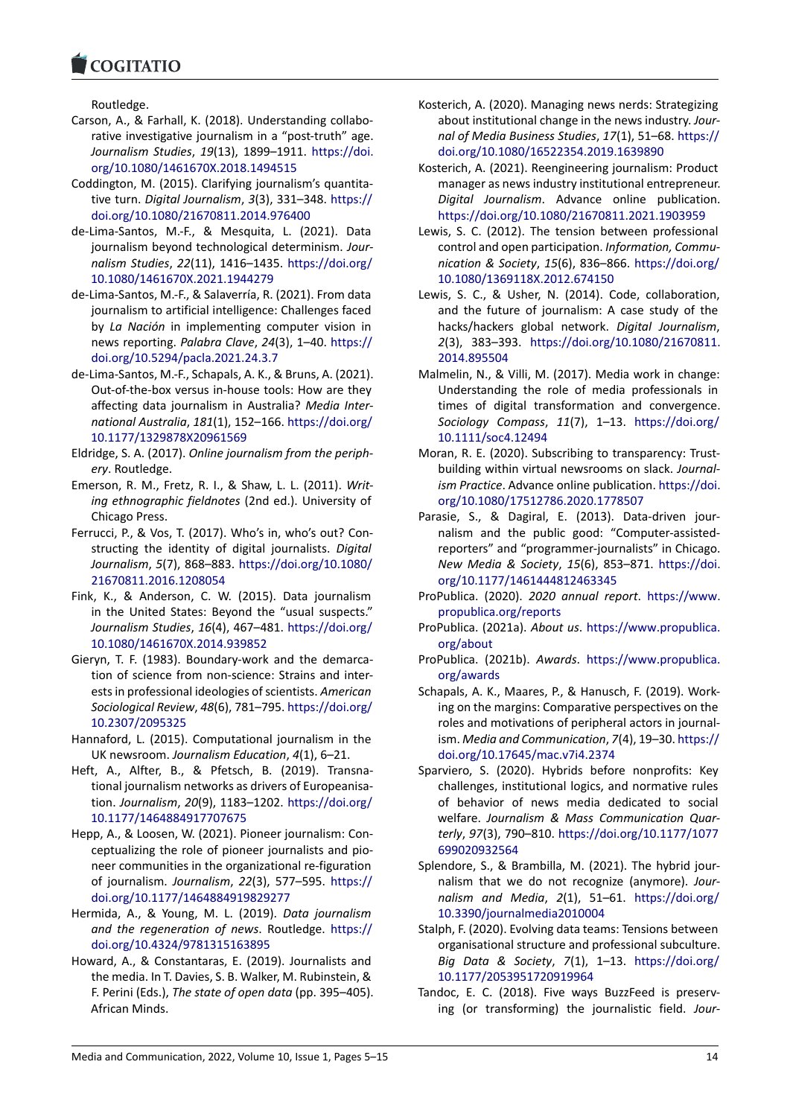#### COQUIATIO

Routledge.

- [Carson, A., & Farhall](https://www.cogitatiopress.com), K. (2018). Understanding collabo‐ rative investigative journalism in a "post-truth" age. *Journalism Studies*, *19*(13), 1899–1911. https://doi. org/10.1080/1461670X.2018.1494515
- Coddington, M. (2015). Clarifying journalism's quantita‐ tive turn. *Digital Journalism*, *3*(3), 331–348. https:// doi.org/10.1080/21670811.2014.976400
- de‐[Lima‐Santos, M.‐F., & Mesquita, L.](https://doi.org/10.1080/1461670X.2018.1494515) (2021). Data journalism beyond technological determinism. *Jour‐ nalism Studies*, *22*(11), 1416–1435. https://[doi.org/](https://doi.org/10.1080/21670811.2014.976400) [10.1080/1461670X.2021.1944279](https://doi.org/10.1080/21670811.2014.976400)
- de‐Lima‐Santos, M.‐F., & Salaverría, R. (2021). From data journalism to artificial intelligence: Challenges faced by *La Nación* in implementing co[mputer vision in](https://doi.org/10.1080/1461670X.2021.1944279) [news reporting.](https://doi.org/10.1080/1461670X.2021.1944279) *Palabra Clave*, *24*(3), 1–40. https:// doi.org/10.5294/pacla.2021.24.3.7
- de‐Lima‐Santos, M.‐F., Schapals, A. K., & Bruns, A. (2021). Out‐of‐the‐box versus in‐house tools: How are they affecting data journalism in Australia? *Med[ia Inter‐](https://doi.org/10.5294/pacla.2021.24.3.7) [national Australia](https://doi.org/10.5294/pacla.2021.24.3.7)*, *181*(1), 152–166. https://doi.org/ 10.1177/1329878X20961569
- Eldridge, S. A. (2017). *Online journalism from the periph‐ ery*. Routledge.
- Emerson, R. M., Fretz, R. I., & Shaw, L. [L. \(2011\).](https://doi.org/10.1177/1329878X20961569) *Writ‐ [ing ethnographic fieldnotes](https://doi.org/10.1177/1329878X20961569)* (2nd ed.). University of Chicago Press.
- Ferrucci, P., & Vos, T. (2017). Who's in, who's out? Con‐ structing the identity of digital journalists. *Digital Journalism*, *5*(7), 868–883. https://doi.org/10.1080/ 21670811.2016.1208054
- Fink, K., & Anderson, C. W. (2015). Data journalism in the United States: Beyond the "usual suspects." *Journalism Studies*, *16*(4), 467–481. [https://doi.org/](https://doi.org/10.1080/21670811.2016.1208054) [10.1080/1461670X.2014.](https://doi.org/10.1080/21670811.2016.1208054)939852
- Gieryn, T. F. (1983). Boundary‐work and the demarca‐ tion of science from non‐science: Strains and inter‐ ests in professional ideologies of scientists. *[American](https://doi.org/10.1080/1461670X.2014.939852) [Sociological Review](https://doi.org/10.1080/1461670X.2014.939852)*, *48*(6), 781–795. https://doi.org/ 10.2307/2095325
- Hannaford, L. (2015). Computational journalism in the UK newsroom. *Journalism Education*, *4*(1), 6–21.
- Heft, A., Alfter, B., & Pfetsch, B. ([2019\). Transna‐](https://doi.org/10.2307/2095325) [tional journalism n](https://doi.org/10.2307/2095325)etworks as drivers of Europeanisa‐ tion. *Journalism*, *20*(9), 1183–1202. https://doi.org/ 10.1177/1464884917707675
- Hepp, A., & Loosen, W. (2021). Pioneer journalism: Con‐ ceptualizing the role of pioneer journalists and pio‐ neer communities in the organizatio[nal re‐figuration](https://doi.org/10.1177/1464884917707675) [of journalism.](https://doi.org/10.1177/1464884917707675) *Journalism*, *22*(3), 577–595. https:// doi.org/10.1177/1464884919829277
- Hermida, A., & Young, M. L. (2019). *Data journalism and the regeneration of news*. Routledge. https:// doi.org/10.4324/9781315163895
- Ho[ward, A., & Constantaras, E. \(2019\). J](https://doi.org/10.1177/1464884919829277)ournalists and the media. In T. Davies, S. B. Walker, M. Rubinstein, & F. Perini (Eds.), *The state of open data* (pp. 3[95–405\).](https://doi.org/10.4324/9781315163895) [African Minds.](https://doi.org/10.4324/9781315163895)
- Kosterich, A. (2020). Managing news nerds: Strategizing about institutional change in the news industry. *Jour‐ nal of Media Business Studies*, *17*(1), 51–68. https:// doi.org/10.1080/16522354.2019.1639890
- Kosterich, A. (2021). Reengineering journalism: Product manager as news industry institutional entrepreneur. *Digital Journalism*. Advance online pu[blication.](https://doi.org/10.1080/16522354.2019.1639890) [https://doi.org/10.1080/21670811.2021.1](https://doi.org/10.1080/16522354.2019.1639890)903959
- Lewis, S. C. (2012). The tension between professional control and open participation. *Information, Commu‐ nication & Society*, *15*(6), 836–866. https://doi.org/ [10.1080/1369118X.2012.674150](https://doi.org/10.1080/21670811.2021.1903959)
- Lewis, S. C., & Usher, N. (2014). Code, collaboration, and the future of journalism: A case study of the hacks/hackers global network. *Di[gital Journalism](https://doi.org/10.1080/1369118X.2012.674150)*, *2*(3), 383–393. [https://doi.org/](https://doi.org/10.1080/1369118X.2012.674150)10.1080/21670811. 2014.895504
- Malmelin, N., & Villi, M. (2017). Media work in change: Understanding the role of media professionals in times of digital [transformation and convergence.](https://doi.org/10.1080/21670811.2014.895504) *[Sociology Co](https://doi.org/10.1080/21670811.2014.895504)mpass*, *11*(7), 1–13. https://doi.org/ 10.1111/soc4.12494
- Moran, R. E. (2020). Subscribing to transparency: Trustbuilding within virtual newsrooms on slack. *Journal‐ ism Practice*. Advance online publication. [https://doi.](https://doi.org/10.1111/soc4.12494) [org/10.1080/175127](https://doi.org/10.1111/soc4.12494)86.2020.1778507
- Parasie, S., & Dagiral, E. (2013). Data‐driven jour‐ nalism and the public good: "Computer‐assisted‐ reporters" and "programmer‐journalists[" in Chicago.](https://doi.org/10.1080/17512786.2020.1778507) *[New Media & Society](https://doi.org/10.1080/17512786.2020.1778507)*, *15*(6), 853–871. https://doi. org/10.1177/1461444812463345
- ProPublica. (2020). *2020 annual report*. https://www. propublica.org/reports
- ProPublica. (2021a). *About us*. https://www[.propublica.](https://doi.org/10.1177/1461444812463345) [org/about](https://doi.org/10.1177/1461444812463345)
- ProPublica. (2021b). *Awards*. https://ww[w.propublica.](https://www.propublica.org/reports) [org/awards](https://www.propublica.org/reports)
- Schapals, A. K., Maares, P., & [Hanusch, F. \(2019\). Work‐](https://www.propublica.org/about) [ing on the](https://www.propublica.org/about) margins: Comparative perspectives on the roles and motivations of pe[ripheral actors in journal‐](https://www.propublica.org/awards) ism. *[Media a](https://www.propublica.org/awards)nd Communication*, *7*(4), 19–30. https:// doi.org/10.17645/mac.v7i4.2374
- Sparviero, S. (2020). Hybrids before nonprofits: Key challenges, institutional logics, and normative rules of behavior of news media dedicated t[o social](https://doi.org/10.17645/mac.v7i4.2374) welfare. *[Journalism & Mass Com](https://doi.org/10.17645/mac.v7i4.2374)munication Quar‐ terly*, *97*(3), 790–810. https://doi.org/10.1177/1077 699020932564
- Splendore, S., & Brambilla, M. (2021). The hybrid jour‐ nalism that we do not recognize (anymore). *Jour‐ nalism and Media*, *2*(1), 51–61. [https://doi.org/](https://doi.org/10.1177/1077699020932564) [10.3390/journa](https://doi.org/10.1177/1077699020932564)lmedia2010004
- Stalph, F. (2020). Evolving data teams: Tensions between organisational structure and professional subculture. *Big Data & Society*, *7*(1), 1–13. [https://doi.org/](https://doi.org/10.3390/journalmedia2010004) [10.1177/2053951720919964](https://doi.org/10.3390/journalmedia2010004)
- Tandoc, E. C. (2018). Five ways BuzzFeed is preserving (or transforming) the journalistic field. *Jour‐*